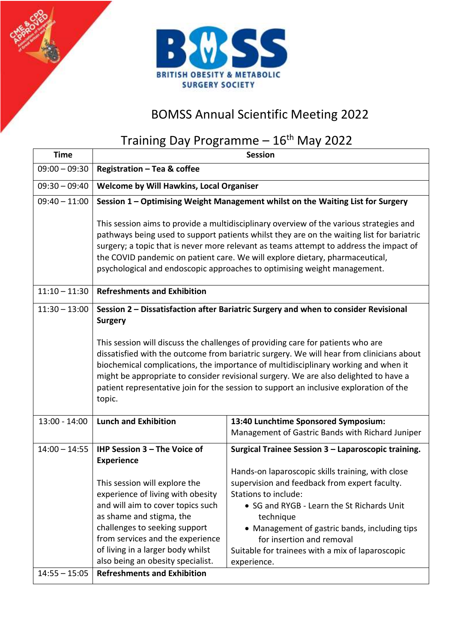

## BOMSS Annual Scientific Meeting 2022

## Training Day Programme - 16<sup>th</sup> May 2022

| <b>Time</b>     | <b>Session</b>                                                                                                                                                                                                                                                                                                                                                                                                                                                |                                                                                                                                                                                                                                                                                                                                                                                               |  |
|-----------------|---------------------------------------------------------------------------------------------------------------------------------------------------------------------------------------------------------------------------------------------------------------------------------------------------------------------------------------------------------------------------------------------------------------------------------------------------------------|-----------------------------------------------------------------------------------------------------------------------------------------------------------------------------------------------------------------------------------------------------------------------------------------------------------------------------------------------------------------------------------------------|--|
| $09:00 - 09:30$ | Registration - Tea & coffee                                                                                                                                                                                                                                                                                                                                                                                                                                   |                                                                                                                                                                                                                                                                                                                                                                                               |  |
| $09:30 - 09:40$ | Welcome by Will Hawkins, Local Organiser                                                                                                                                                                                                                                                                                                                                                                                                                      |                                                                                                                                                                                                                                                                                                                                                                                               |  |
| $09:40 - 11:00$ | Session 1 - Optimising Weight Management whilst on the Waiting List for Surgery                                                                                                                                                                                                                                                                                                                                                                               |                                                                                                                                                                                                                                                                                                                                                                                               |  |
|                 | This session aims to provide a multidisciplinary overview of the various strategies and<br>pathways being used to support patients whilst they are on the waiting list for bariatric<br>surgery; a topic that is never more relevant as teams attempt to address the impact of<br>the COVID pandemic on patient care. We will explore dietary, pharmaceutical,<br>psychological and endoscopic approaches to optimising weight management.                    |                                                                                                                                                                                                                                                                                                                                                                                               |  |
| $11:10 - 11:30$ | <b>Refreshments and Exhibition</b>                                                                                                                                                                                                                                                                                                                                                                                                                            |                                                                                                                                                                                                                                                                                                                                                                                               |  |
| $11:30 - 13:00$ | Session 2 - Dissatisfaction after Bariatric Surgery and when to consider Revisional<br><b>Surgery</b>                                                                                                                                                                                                                                                                                                                                                         |                                                                                                                                                                                                                                                                                                                                                                                               |  |
|                 | This session will discuss the challenges of providing care for patients who are<br>dissatisfied with the outcome from bariatric surgery. We will hear from clinicians about<br>biochemical complications, the importance of multidisciplinary working and when it<br>might be appropriate to consider revisional surgery. We are also delighted to have a<br>patient representative join for the session to support an inclusive exploration of the<br>topic. |                                                                                                                                                                                                                                                                                                                                                                                               |  |
| $13:00 - 14:00$ | <b>Lunch and Exhibition</b>                                                                                                                                                                                                                                                                                                                                                                                                                                   | 13:40 Lunchtime Sponsored Symposium:<br>Management of Gastric Bands with Richard Juniper                                                                                                                                                                                                                                                                                                      |  |
| $14:00 - 14:55$ | IHP Session 3 - The Voice of<br><b>Experience</b><br>This session will explore the<br>experience of living with obesity<br>and will aim to cover topics such<br>as shame and stigma, the<br>challenges to seeking support<br>from services and the experience<br>of living in a larger body whilst<br>also being an obesity specialist.                                                                                                                       | Surgical Trainee Session 3 - Laparoscopic training.<br>Hands-on laparoscopic skills training, with close<br>supervision and feedback from expert faculty.<br>Stations to include:<br>• SG and RYGB - Learn the St Richards Unit<br>technique<br>• Management of gastric bands, including tips<br>for insertion and removal<br>Suitable for trainees with a mix of laparoscopic<br>experience. |  |
| $14:55 - 15:05$ | <b>Refreshments and Exhibition</b>                                                                                                                                                                                                                                                                                                                                                                                                                            |                                                                                                                                                                                                                                                                                                                                                                                               |  |